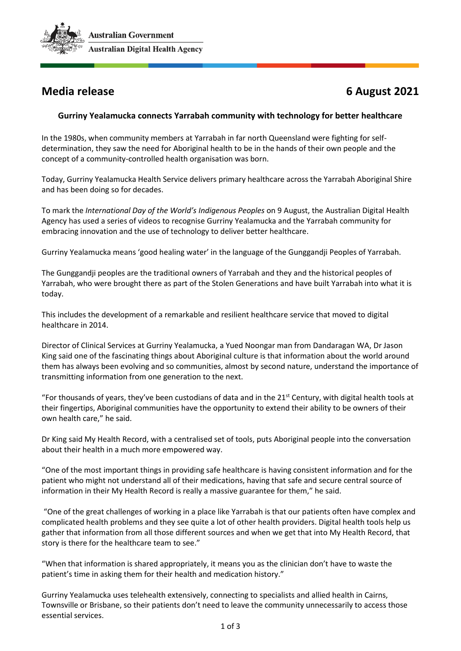

# **Media release 6 August 2021**

## **Gurriny Yealamucka connects Yarrabah community with technology for better healthcare**

In the 1980s, when community members at Yarrabah in far north Queensland were fighting for selfdetermination, they saw the need for Aboriginal health to be in the hands of their own people and the concept of a community-controlled health organisation was born.

Today, Gurriny Yealamucka Health Service delivers primary healthcare across the Yarrabah Aboriginal Shire and has been doing so for decades.

To mark the *International Day of the World's Indigenous Peoples* on 9 August, the Australian Digital Health Agency has used a series of videos to recognise Gurriny Yealamucka and the Yarrabah community for embracing innovation and the use of technology to deliver better healthcare.

Gurriny Yealamucka means 'good healing water' in the language of the Gunggandji Peoples of Yarrabah.

The Gunggandji peoples are the traditional owners of Yarrabah and they and the historical peoples of Yarrabah, who were brought there as part of the Stolen Generations and have built Yarrabah into what it is today.

This includes the development of a remarkable and resilient healthcare service that moved to digital healthcare in 2014.

Director of Clinical Services at Gurriny Yealamucka, a Yued Noongar man from Dandaragan WA, Dr Jason King said one of the fascinating things about Aboriginal culture is that information about the world around them has always been evolving and so communities, almost by second nature, understand the importance of transmitting information from one generation to the next.

"For thousands of years, they've been custodians of data and in the  $21^{st}$  Century, with digital health tools at their fingertips, Aboriginal communities have the opportunity to extend their ability to be owners of their own health care," he said.

Dr King said My Health Record, with a centralised set of tools, puts Aboriginal people into the conversation about their health in a much more empowered way.

"One of the most important things in providing safe healthcare is having consistent information and for the patient who might not understand all of their medications, having that safe and secure central source of information in their My Health Record is really a massive guarantee for them," he said.

"One of the great challenges of working in a place like Yarrabah is that our patients often have complex and complicated health problems and they see quite a lot of other health providers. Digital health tools help us gather that information from all those different sources and when we get that into My Health Record, that story is there for the healthcare team to see."

"When that information is shared appropriately, it means you as the clinician don't have to waste the patient's time in asking them for their health and medication history."

Gurriny Yealamucka uses telehealth extensively, connecting to specialists and allied health in Cairns, Townsville or Brisbane, so their patients don't need to leave the community unnecessarily to access those essential services.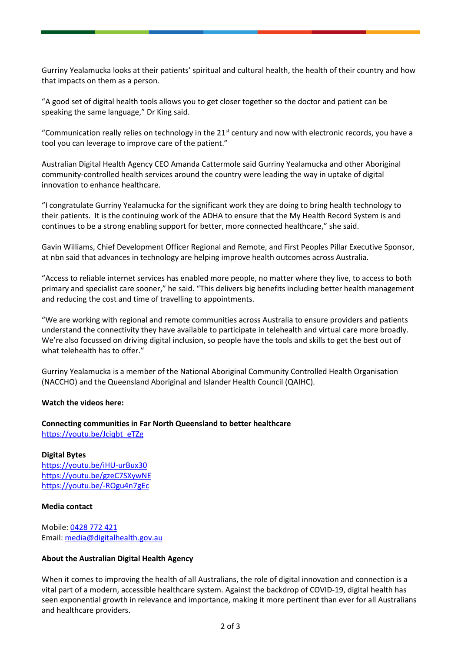Gurriny Yealamucka looks at their patients' spiritual and cultural health, the health of their country and how that impacts on them as a person.

"A good set of digital health tools allows you to get closer together so the doctor and patient can be speaking the same language," Dr King said.

"Communication really relies on technology in the  $21<sup>st</sup>$  century and now with electronic records, you have a tool you can leverage to improve care of the patient."

Australian Digital Health Agency CEO Amanda Cattermole said Gurriny Yealamucka and other Aboriginal community-controlled health services around the country were leading the way in uptake of digital innovation to enhance healthcare.

"I congratulate Gurriny Yealamucka for the significant work they are doing to bring health technology to their patients. It is the continuing work of the ADHA to ensure that the My Health Record System is and continues to be a strong enabling support for better, more connected healthcare," she said.

Gavin Williams, Chief Development Officer Regional and Remote, and First Peoples Pillar Executive Sponsor, at nbn said that advances in technology are helping improve health outcomes across Australia.

"Access to reliable internet services has enabled more people, no matter where they live, to access to both primary and specialist care sooner," he said. "This delivers big benefits including better health management and reducing the cost and time of travelling to appointments.

"We are working with regional and remote communities across Australia to ensure providers and patients understand the connectivity they have available to participate in telehealth and virtual care more broadly. We're also focussed on driving digital inclusion, so people have the tools and skills to get the best out of what telehealth has to offer."

Gurriny Yealamucka is a member of the National Aboriginal Community Controlled Health Organisation (NACCHO) and the Queensland Aboriginal and Islander Health Council (QAIHC).

### **Watch the videos here:**

### **Connecting communities in Far North Queensland to better healthcare**  [https://youtu.be/Jciqbt\\_eTZg](https://youtu.be/Jciqbt_eTZg)

**Digital Bytes** <https://youtu.be/iHU-urBux30> <https://youtu.be/gzeC7SXywNE> <https://youtu.be/-ROgu4n7gEc>

#### **Media contact**

Mobile: [0428 772 421](tel:0428772421) Email: [media@digitalhealth.gov.au](mailto:media@digitalhealth.gov.au) 

### **About the Australian Digital Health Agency**

When it comes to improving the health of all Australians, the role of digital innovation and connection is a vital part of a modern, accessible healthcare system. Against the backdrop of COVID-19, digital health has seen exponential growth in relevance and importance, making it more pertinent than ever for all Australians and healthcare providers.